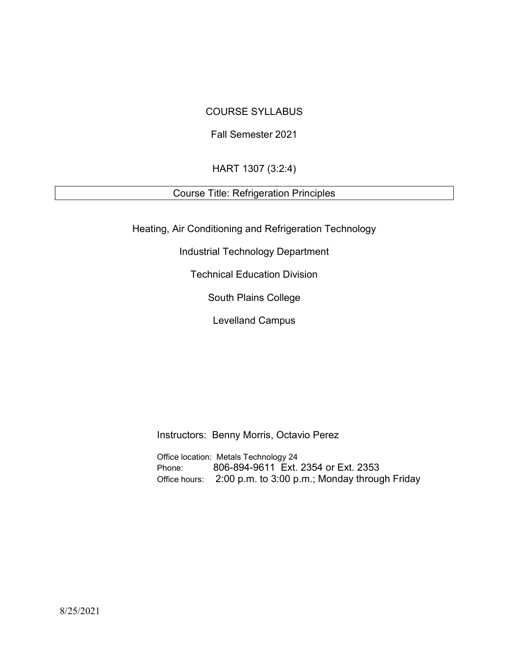## COURSE SYLLABUS

## Fall Semester 2021

## HART 1307 (3:2:4)

## Course Title: Refrigeration Principles

Heating, Air Conditioning and Refrigeration Technology

Industrial Technology Department

Technical Education Division

South Plains College

Levelland Campus

Instructors: Benny Morris, Octavio Perez

Office location: Metals Technology 24 Phone: 806-894-9611 Ext. 2354 or Ext. 2353 Office hours: 2:00 p.m. to 3:00 p.m.; Monday through Friday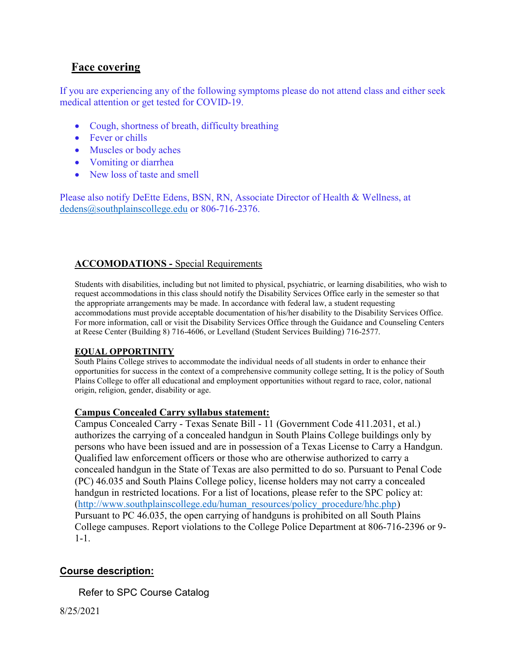# Face covering

If you are experiencing any of the following symptoms please do not attend class and either seek medical attention or get tested for COVID-19.

- Cough, shortness of breath, difficulty breathing
- Fever or chills
- Muscles or body aches
- Vomiting or diarrhea
- New loss of taste and smell

Please also notify DeEtte Edens, BSN, RN, Associate Director of Health & Wellness, at dedens@southplainscollege.edu or 806-716-2376.

## ACCOMODATIONS - Special Requirements

Students with disabilities, including but not limited to physical, psychiatric, or learning disabilities, who wish to request accommodations in this class should notify the Disability Services Office early in the semester so that the appropriate arrangements may be made. In accordance with federal law, a student requesting accommodations must provide acceptable documentation of his/her disability to the Disability Services Office. For more information, call or visit the Disability Services Office through the Guidance and Counseling Centers at Reese Center (Building 8) 716-4606, or Levelland (Student Services Building) 716-2577.

## EQUAL OPPORTINITY

South Plains College strives to accommodate the individual needs of all students in order to enhance their opportunities for success in the context of a comprehensive community college setting, It is the policy of South Plains College to offer all educational and employment opportunities without regard to race, color, national origin, religion, gender, disability or age.

## Campus Concealed Carry syllabus statement:

Campus Concealed Carry - Texas Senate Bill - 11 (Government Code 411.2031, et al.) authorizes the carrying of a concealed handgun in South Plains College buildings only by persons who have been issued and are in possession of a Texas License to Carry a Handgun. Qualified law enforcement officers or those who are otherwise authorized to carry a concealed handgun in the State of Texas are also permitted to do so. Pursuant to Penal Code (PC) 46.035 and South Plains College policy, license holders may not carry a concealed handgun in restricted locations. For a list of locations, please refer to the SPC policy at: (http://www.southplainscollege.edu/human\_resources/policy\_procedure/hhc.php) Pursuant to PC 46.035, the open carrying of handguns is prohibited on all South Plains College campuses. Report violations to the College Police Department at 806-716-2396 or 9- 1-1.

## Course description:

Refer to SPC Course Catalog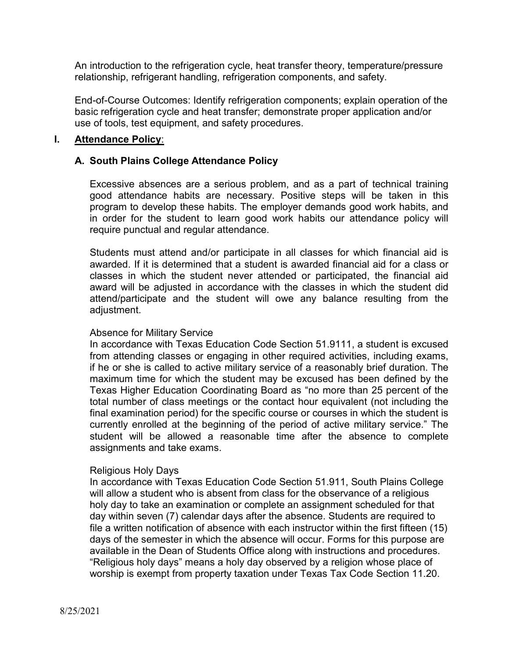An introduction to the refrigeration cycle, heat transfer theory, temperature/pressure relationship, refrigerant handling, refrigeration components, and safety.

End-of-Course Outcomes: Identify refrigeration components; explain operation of the basic refrigeration cycle and heat transfer; demonstrate proper application and/or use of tools, test equipment, and safety procedures.

### I. Attendance Policy:

### A. South Plains College Attendance Policy

Excessive absences are a serious problem, and as a part of technical training good attendance habits are necessary. Positive steps will be taken in this program to develop these habits. The employer demands good work habits, and in order for the student to learn good work habits our attendance policy will require punctual and regular attendance.

Students must attend and/or participate in all classes for which financial aid is awarded. If it is determined that a student is awarded financial aid for a class or classes in which the student never attended or participated, the financial aid award will be adjusted in accordance with the classes in which the student did attend/participate and the student will owe any balance resulting from the adjustment.

### Absence for Military Service

In accordance with Texas Education Code Section 51.9111, a student is excused from attending classes or engaging in other required activities, including exams, if he or she is called to active military service of a reasonably brief duration. The maximum time for which the student may be excused has been defined by the Texas Higher Education Coordinating Board as "no more than 25 percent of the total number of class meetings or the contact hour equivalent (not including the final examination period) for the specific course or courses in which the student is currently enrolled at the beginning of the period of active military service." The student will be allowed a reasonable time after the absence to complete assignments and take exams.

### Religious Holy Days

In accordance with Texas Education Code Section 51.911, South Plains College will allow a student who is absent from class for the observance of a religious holy day to take an examination or complete an assignment scheduled for that day within seven (7) calendar days after the absence. Students are required to file a written notification of absence with each instructor within the first fifteen (15) days of the semester in which the absence will occur. Forms for this purpose are available in the Dean of Students Office along with instructions and procedures. "Religious holy days" means a holy day observed by a religion whose place of worship is exempt from property taxation under Texas Tax Code Section 11.20.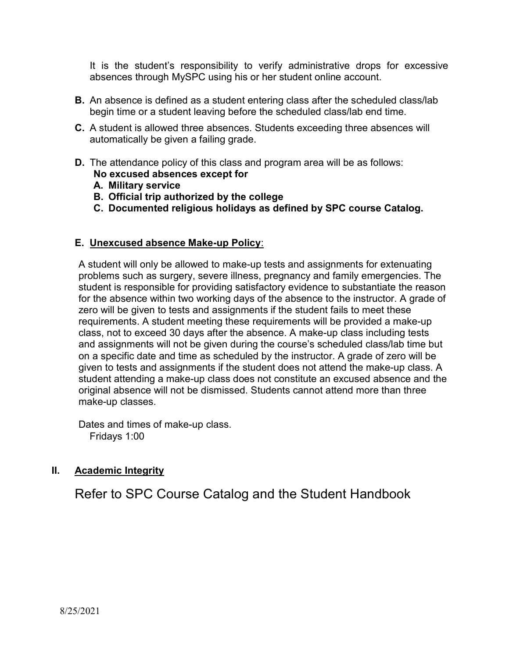It is the student's responsibility to verify administrative drops for excessive absences through MySPC using his or her student online account.

- B. An absence is defined as a student entering class after the scheduled class/lab begin time or a student leaving before the scheduled class/lab end time.
- C. A student is allowed three absences. Students exceeding three absences will automatically be given a failing grade.
- D. The attendance policy of this class and program area will be as follows:
	- No excused absences except for
	- A. Military service
	- B. Official trip authorized by the college
	- C. Documented religious holidays as defined by SPC course Catalog.

## E. Unexcused absence Make-up Policy:

A student will only be allowed to make-up tests and assignments for extenuating problems such as surgery, severe illness, pregnancy and family emergencies. The student is responsible for providing satisfactory evidence to substantiate the reason for the absence within two working days of the absence to the instructor. A grade of zero will be given to tests and assignments if the student fails to meet these requirements. A student meeting these requirements will be provided a make-up class, not to exceed 30 days after the absence. A make-up class including tests and assignments will not be given during the course's scheduled class/lab time but on a specific date and time as scheduled by the instructor. A grade of zero will be given to tests and assignments if the student does not attend the make-up class. A student attending a make-up class does not constitute an excused absence and the original absence will not be dismissed. Students cannot attend more than three make-up classes.

Dates and times of make-up class. Fridays 1:00

## II. Academic Integrity

Refer to SPC Course Catalog and the Student Handbook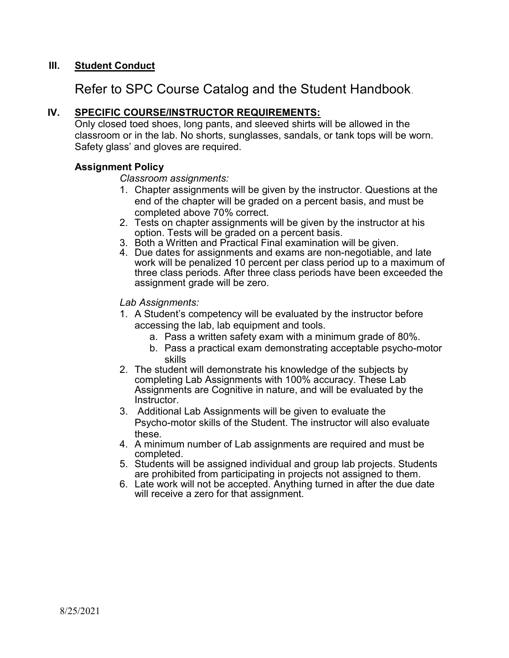## III. Student Conduct

# Refer to SPC Course Catalog and the Student Handbook.

## IV. SPECIFIC COURSE/INSTRUCTOR REQUIREMENTS:

Only closed toed shoes, long pants, and sleeved shirts will be allowed in the classroom or in the lab. No shorts, sunglasses, sandals, or tank tops will be worn. Safety glass' and gloves are required.

### Assignment Policy

Classroom assignments:

- 1. Chapter assignments will be given by the instructor. Questions at the end of the chapter will be graded on a percent basis, and must be completed above 70% correct.
- 2. Tests on chapter assignments will be given by the instructor at his option. Tests will be graded on a percent basis.
- 3. Both a Written and Practical Final examination will be given.
- 4. Due dates for assignments and exams are non-negotiable, and late work will be penalized 10 percent per class period up to a maximum of three class periods. After three class periods have been exceeded the assignment grade will be zero.

### Lab Assignments:

- 1. A Student's competency will be evaluated by the instructor before accessing the lab, lab equipment and tools.
	- a. Pass a written safety exam with a minimum grade of 80%.
	- b. Pass a practical exam demonstrating acceptable psycho-motor skills
- 2. The student will demonstrate his knowledge of the subjects by completing Lab Assignments with 100% accuracy. These Lab Assignments are Cognitive in nature, and will be evaluated by the Instructor.
- 3. Additional Lab Assignments will be given to evaluate the Psycho-motor skills of the Student. The instructor will also evaluate these.
- 4. A minimum number of Lab assignments are required and must be completed.
- 5. Students will be assigned individual and group lab projects. Students are prohibited from participating in projects not assigned to them.
- 6. Late work will not be accepted. Anything turned in after the due date will receive a zero for that assignment.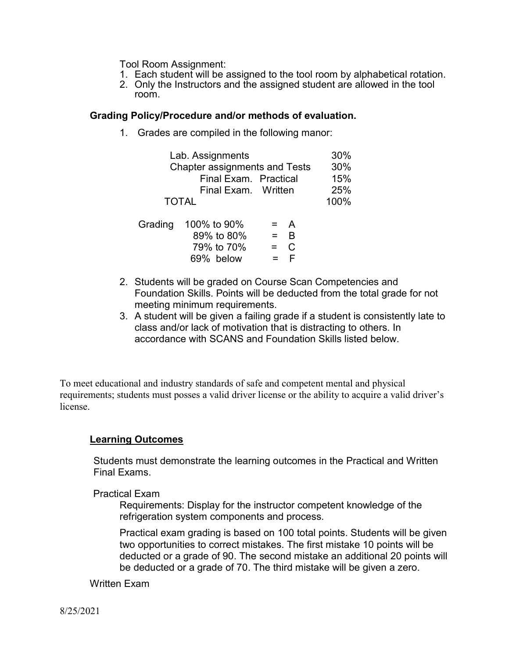Tool Room Assignment:

- 1. Each student will be assigned to the tool room by alphabetical rotation.
- 2. Only the Instructors and the assigned student are allowed in the tool room.

### Grading Policy/Procedure and/or methods of evaluation.

1. Grades are compiled in the following manor:

| Lab. Assignments                     |                     |                    | 30%  |     |
|--------------------------------------|---------------------|--------------------|------|-----|
| <b>Chapter assignments and Tests</b> |                     |                    | 30%  |     |
| Final Exam. Practical                |                     |                    | 15%  |     |
|                                      | Final Exam. Written |                    |      | 25% |
| <b>TOTAL</b>                         |                     |                    | 100% |     |
|                                      |                     |                    |      |     |
|                                      | Grading 100% to 90% | $= A$              |      |     |
|                                      | 89% to 80%          | $=$ B              |      |     |
|                                      | 79% to 70%          | $= C$              |      |     |
|                                      | 69% below           | $=$ $\blacksquare$ |      |     |
|                                      |                     |                    |      |     |

- 2. Students will be graded on Course Scan Competencies and Foundation Skills. Points will be deducted from the total grade for not meeting minimum requirements.
- 3. A student will be given a failing grade if a student is consistently late to class and/or lack of motivation that is distracting to others. In accordance with SCANS and Foundation Skills listed below.

To meet educational and industry standards of safe and competent mental and physical requirements; students must posses a valid driver license or the ability to acquire a valid driver's license.

### Learning Outcomes

Students must demonstrate the learning outcomes in the Practical and Written Final Exams.

Practical Exam

Requirements: Display for the instructor competent knowledge of the refrigeration system components and process.

Practical exam grading is based on 100 total points. Students will be given two opportunities to correct mistakes. The first mistake 10 points will be deducted or a grade of 90. The second mistake an additional 20 points will be deducted or a grade of 70. The third mistake will be given a zero.

Written Exam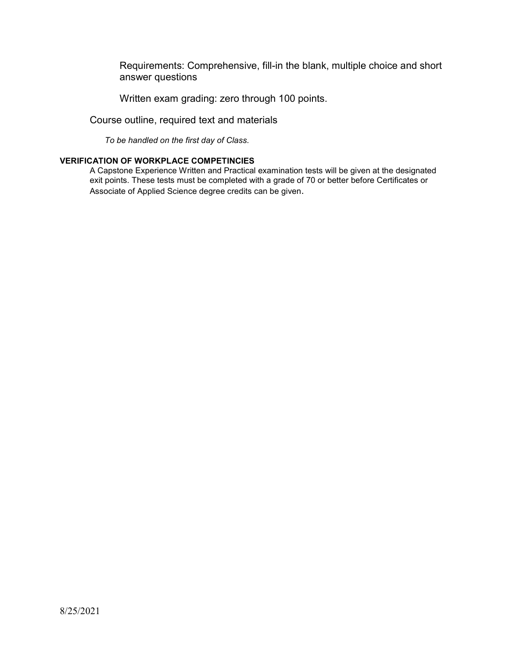Requirements: Comprehensive, fill-in the blank, multiple choice and short answer questions

Written exam grading: zero through 100 points.

Course outline, required text and materials

To be handled on the first day of Class.

### VERIFICATION OF WORKPLACE COMPETINCIES

A Capstone Experience Written and Practical examination tests will be given at the designated exit points. These tests must be completed with a grade of 70 or better before Certificates or Associate of Applied Science degree credits can be given.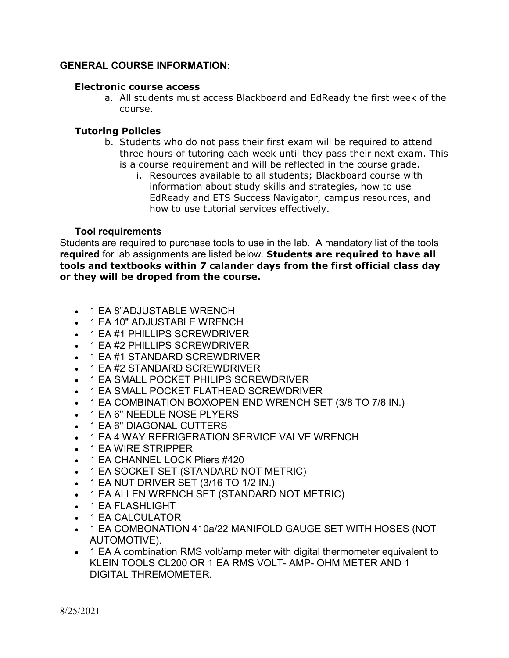## GENERAL COURSE INFORMATION:

### Electronic course access

a. All students must access Blackboard and EdReady the first week of the course.

### Tutoring Policies

- b. Students who do not pass their first exam will be required to attend three hours of tutoring each week until they pass their next exam. This is a course requirement and will be reflected in the course grade.
	- i. Resources available to all students; Blackboard course with information about study skills and strategies, how to use EdReady and ETS Success Navigator, campus resources, and how to use tutorial services effectively.

### Tool requirements

Students are required to purchase tools to use in the lab. A mandatory list of the tools required for lab assignments are listed below. Students are required to have all tools and textbooks within 7 calander days from the first official class day or they will be droped from the course.

- 1 EA 8"ADJUSTABLE WRENCH
- 1 EA 10" ADJUSTABLE WRENCH
- 1 EA #1 PHILLIPS SCREWDRIVER
- 1 EA #2 PHILLIPS SCREWDRIVER
- 1 EA #1 STANDARD SCREWDRIVER
- 1 EA #2 STANDARD SCREWDRIVER
- 1 EA SMALL POCKET PHILIPS SCREWDRIVER
- 1 EA SMALL POCKET FLATHEAD SCREWDRIVER
- 1 EA COMBINATION BOX\OPEN END WRENCH SET (3/8 TO 7/8 IN.)
- 1 EA 6" NEEDLE NOSE PLYERS
- 1 EA 6" DIAGONAL CUTTERS
- 1 EA 4 WAY REFRIGERATION SERVICE VALVE WRENCH
- 1 EA WIRE STRIPPER
- 1 EA CHANNEL LOCK Pliers #420
- 1 EA SOCKET SET (STANDARD NOT METRIC)
- $\bullet$  1 EA NUT DRIVER SET (3/16 TO 1/2 IN.)
- 1 EA ALLEN WRENCH SET (STANDARD NOT METRIC)
- 1 EA FLASHLIGHT
- 1 EA CALCULATOR
- 1 EA COMBONATION 410a/22 MANIFOLD GAUGE SET WITH HOSES (NOT AUTOMOTIVE).
- 1 EA A combination RMS volt/amp meter with digital thermometer equivalent to KLEIN TOOLS CL200 OR 1 EA RMS VOLT- AMP- OHM METER AND 1 DIGITAL THREMOMETER.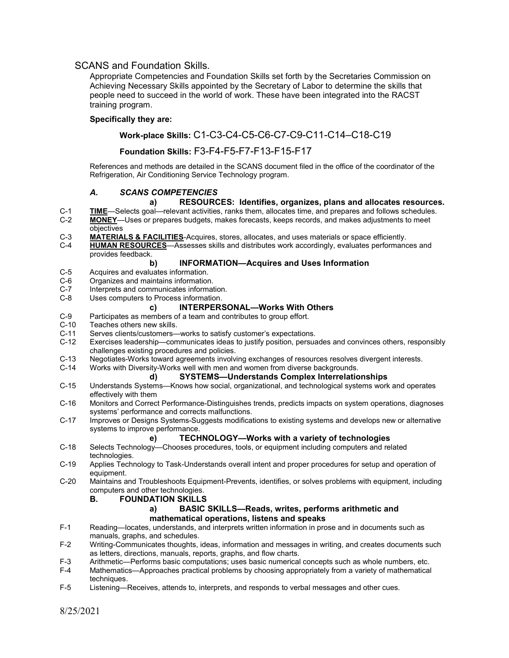### SCANS and Foundation Skills.

Appropriate Competencies and Foundation Skills set forth by the Secretaries Commission on Achieving Necessary Skills appointed by the Secretary of Labor to determine the skills that people need to succeed in the world of work. These have been integrated into the RACST training program.

#### Specifically they are:

### Work-place Skills: C1-C3-C4-C5-C6-C7-C9-C11-C14–C18-C19

### Foundation Skills: F3-F4-F5-F7-F13-F15-F17

References and methods are detailed in the SCANS document filed in the office of the coordinator of the Refrigeration, Air Conditioning Service Technology program.

### A. SCANS COMPETENCIES

#### a) RESOURCES: Identifies, organizes, plans and allocates resources.

- C-1 TIME—Selects goal—relevant activities, ranks them, allocates time, and prepares and follows schedules.<br>C-2 MONEY—Uses or prepares budgets, makes forecasts, keeps records, and makes adiustments to meet MONEY—Uses or prepares budgets, makes forecasts, keeps records, and makes adjustments to meet objectives
- C-3 MATERIALS & FACILITIES-Acquires, stores, allocates, and uses materials or space efficiently.
- C-4 HUMAN RESOURCES—Assesses skills and distributes work accordingly, evaluates performances and provides feedback.

#### b) INFORMATION—Acquires and Uses Information

- C-5 Acquires and evaluates information.<br>C-6 Organizes and maintains information
- C-6 Organizes and maintains information.<br>C-7 Interprets and communicates informat
- C-7 Interprets and communicates information.<br>C-8 Uses computers to Process information.
- Uses computers to Process information.

#### c) INTERPERSONAL—Works With Others

- C-9 Participates as members of a team and contributes to group effort.<br>C-10 Teaches others new skills.
- C-10 Teaches others new skills.<br>C-11 Serves clients/customers-
- C-11 Serves clients/customers—works to satisfy customer's expectations.<br>C-12 Exercises leadership—communicates ideas to iustify position, persual
- Exercises leadership—communicates ideas to justify position, persuades and convinces others, responsibly challenges existing procedures and policies.
- C-13 Negotiates-Works toward agreements involving exchanges of resources resolves divergent interests.
- C-14 Works with Diversity-Works well with men and women from diverse backgrounds.

#### d) SYSTEMS—Understands Complex Interrelationships

- C-15 Understands Systems—Knows how social, organizational, and technological systems work and operates effectively with them
- C-16 Monitors and Correct Performance-Distinguishes trends, predicts impacts on system operations, diagnoses systems' performance and corrects malfunctions.
- C-17 Improves or Designs Systems-Suggests modifications to existing systems and develops new or alternative systems to improve performance.

#### e) TECHNOLOGY—Works with a variety of technologies

- C-18 Selects Technology—Chooses procedures, tools, or equipment including computers and related technologies.
- C-19 Applies Technology to Task-Understands overall intent and proper procedures for setup and operation of equipment.
- C-20 Maintains and Troubleshoots Equipment-Prevents, identifies, or solves problems with equipment, including computers and other technologies.

#### B. FOUNDATION SKILLS

#### a) BASIC SKILLS—Reads, writes, performs arithmetic and mathematical operations, listens and speaks

- F-1 Reading—locates, understands, and interprets written information in prose and in documents such as manuals, graphs, and schedules.
- F-2 Writing-Communicates thoughts, ideas, information and messages in writing, and creates documents such as letters, directions, manuals, reports, graphs, and flow charts.
- F-3 Arithmetic—Performs basic computations; uses basic numerical concepts such as whole numbers, etc.<br>F-4 Mathematics—Approaches practical problems by choosing appropriately from a variety of mathematical
- Mathematics—Approaches practical problems by choosing appropriately from a variety of mathematical techniques.
- F-5 Listening—Receives, attends to, interprets, and responds to verbal messages and other cues.

8/25/2021